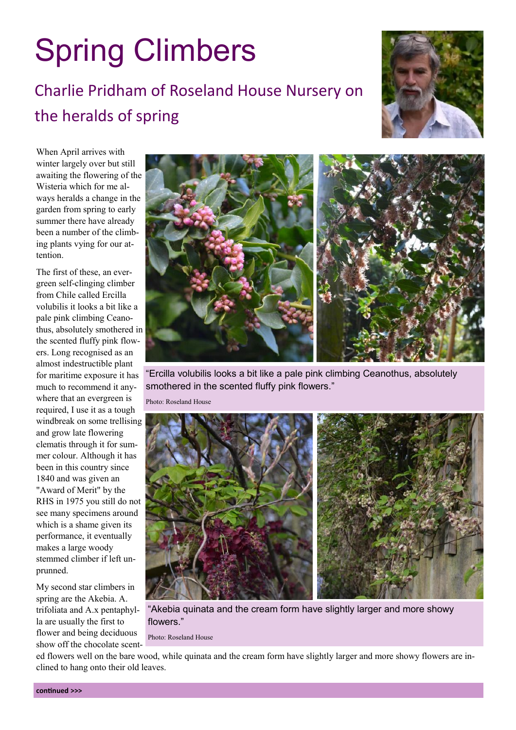## Spring Climbers

## Charlie Pridham of Roseland House Nursery on the heralds of spring



When April arrives with winter largely over but still awaiting the flowering of the Wisteria which for me always heralds a change in the garden from spring to early summer there have already been a number of the climbing plants vying for our attention.

The first of these, an evergreen self-clinging climber from Chile called Ercilla volubilis it looks a bit like a pale pink climbing Ceanothus, absolutely smothered in the scented fluffy pink flowers. Long recognised as an almost indestructible plant for maritime exposure it has much to recommend it anywhere that an evergreen is required, I use it as a tough windbreak on some trellising and grow late flowering clematis through it for summer colour. Although it has been in this country since 1840 and was given an "Award of Merit" by the RHS in 1975 you still do not see many specimens around which is a shame given its performance, it eventually makes a large woody stemmed climber if left unprunned.

My second star climbers in spring are the Akebia. A. trifoliata and A.x pentaphylla are usually the first to flower and being deciduous show off the chocolate scent-



"Ercilla volubilis looks a bit like a pale pink climbing Ceanothus, absolutely smothered in the scented fluffy pink flowers."

Photo: Roseland House



"Akebia quinata and the cream form have slightly larger and more showy flowers."

Photo: Roseland House

ed flowers well on the bare wood, while quinata and the cream form have slightly larger and more showy flowers are inclined to hang onto their old leaves.